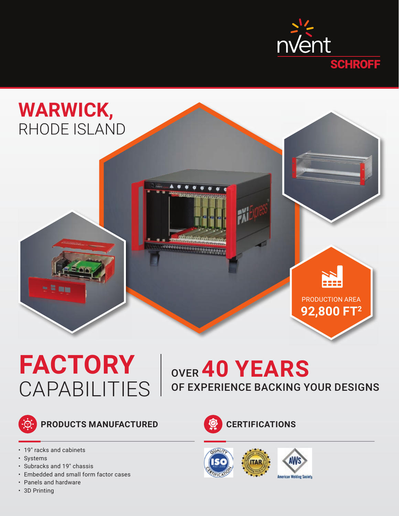



## **FACTORY** CAPABILITIES





**PRODUCTS MANUFACTURED**

- 19″ racks and cabinets
- Systems
- Subracks and 19″ chassis
- Embedded and small form factor cases
- Panels and hardware
- 3D Printing